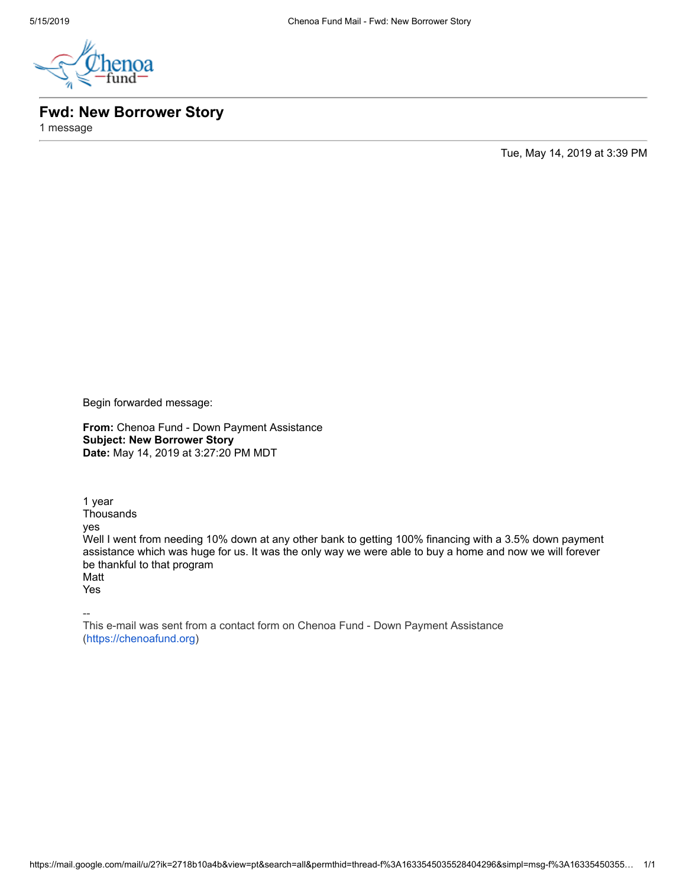

**Fwd: New Borrower Story**

1 message

Tue, May 14, 2019 at 3:39 PM

Begin forwarded message:

**From:** Chenoa Fund - Down Payment Assistance **Subject: New Borrower Story Date:** May 14, 2019 at 3:27:20 PM MDT

1 year **Thousands** yes Well I went from needing 10% down at any other bank to getting 100% financing with a 3.5% down payment assistance which was huge for us. It was the only way we were able to buy a home and now we will forever be thankful to that program Matt Yes

--

This e-mail was sent from a contact form on Chenoa Fund - Down Payment Assistance [\(https://chenoafund.org](https://chenoafund.org/))